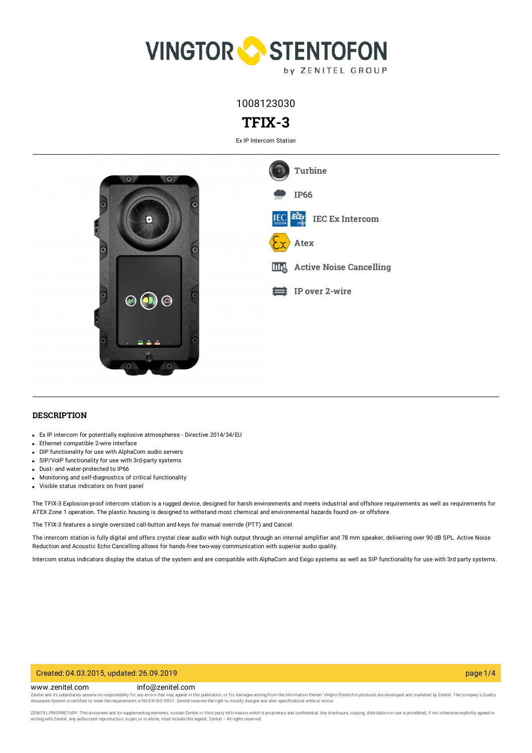

1008123030

# **TFIX-3**

Ex IP Intercom Station



## **DESCRIPTION**

- Ex IP intercom for potentially explosive atmospheres Directive 2014/34/EU
- Ethernet compatible 2-wire interface
- DIP functionality for use with AlphaCom audio servers
- SIP/VoIP functionality for use with 3rd-party systems
- Dust- and water-protected to IP66
- Monitoring and self-diagnostics of critical functionality
- Visible status indicators on front panel

The TFIX-3 Explosion-proof intercom station is a rugged device, designed for harsh environments and meets industrial and offshore requirements as well as requirements for ATEX Zone 1 operation. The plastic housing is designed to withstand most chemical and environmental hazards found on- or offshore.

The TFIX-3 features a single oversized call-button and keys for manual override (PTT) and Cancel.

The intercom station is fully digital and offers crystal clear audio with high output through an internal amplifier and 78 mm speaker, delivering over 90 dB SPL. Active Noise Reduction and Acoustic Echo Cancelling allows for hands-free two-way communication with superior audio quality.

Intercom status indicators display the status of the system and are compatible with AlphaCom and Exigo systems as well as SIP functionality for use with 3rd party systems.

### Created: 04.03.2015, updated: 26.09.2019 page 1/4

www.zenitel.com info@zenitel.com

Zenitel and its subsidiaries assume no responsibility for any errors that may appear in this publication, or for damages arising from the information therein. Vingtor-Stentofon products are developed and marketed by Zenite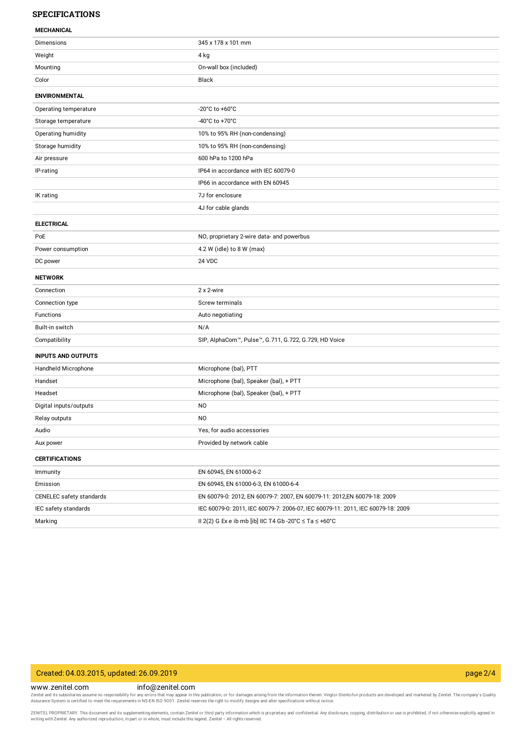### **SPECIFICATIONS**

#### **MECHANICAL**

| ויוניים וריוניים          |                                                                                 |
|---------------------------|---------------------------------------------------------------------------------|
| Dimensions                | 345 x 178 x 101 mm                                                              |
| Weight                    | 4 kg                                                                            |
| Mounting                  | On-wall box (included)                                                          |
| Color                     | Black                                                                           |
| <b>ENVIRONMENTAL</b>      |                                                                                 |
| Operating temperature     | -20°C to +60°C                                                                  |
| Storage temperature       | -40°C to +70°C                                                                  |
| Operating humidity        | 10% to 95% RH (non-condensing)                                                  |
| Storage humidity          | 10% to 95% RH (non-condensing)                                                  |
| Air pressure              | 600 hPa to 1200 hPa                                                             |
| IP-rating                 | IP64 in accordance with IEC 60079-0                                             |
|                           | IP66 in accordance with EN 60945                                                |
| IK rating                 | 7J for enclosure                                                                |
|                           | 4J for cable glands                                                             |
| <b>ELECTRICAL</b>         |                                                                                 |
| PoE                       | NO, proprietary 2-wire data- and powerbus                                       |
| Power consumption         | 4.2 W (idle) to 8 W (max)                                                       |
| DC power                  | 24 VDC                                                                          |
| <b>NETWORK</b>            |                                                                                 |
| Connection                | 2 x 2-wire                                                                      |
| Connection type           | Screw terminals                                                                 |
| Functions                 | Auto negotiating                                                                |
| Built-in switch           | N/A                                                                             |
| Compatibility             | SIP, AlphaCom™, Pulse™, G.711, G.722, G.729, HD Voice                           |
| <b>INPUTS AND OUTPUTS</b> |                                                                                 |
| Handheld Microphone       | Microphone (bal), PTT                                                           |
| Handset                   | Microphone (bal), Speaker (bal), + PTT                                          |
| Headset                   | Microphone (bal), Speaker (bal), + PTT                                          |
| Digital inputs/outputs    | N <sub>O</sub>                                                                  |
| Relay outputs             | N <sub>O</sub>                                                                  |
| Audio                     | Yes, for audio accessories                                                      |
| Aux power                 | Provided by network cable                                                       |
| <b>CERTIFICATIONS</b>     |                                                                                 |
| Immunity                  | EN 60945, EN 61000-6-2                                                          |
| Emission                  | EN 60945, EN 61000-6-3, EN 61000-6-4                                            |
| CENELEC safety standards  | EN 60079-0: 2012, EN 60079-7: 2007, EN 60079-11: 2012,EN 60079-18: 2009         |
| IEC safety standards      | IEC 60079-0: 2011, IEC 60079-7: 2006-07, IEC 60079-11: 2011, IEC 60079-18: 2009 |
| Marking                   | II 2(2) G Ex e ib mb [ib] IIC T4 Gb -20°C $\leq$ Ta $\leq$ +60°C                |

# Created: 04.03.2015, updated: 26.09.2019 page 2/4

#### www.zenitel.com info@zenitel.com

Zenitel and its subsidiaries assume no responsibility for any errors that may appear in this publication, or for damages arising from the information therein. Vingtor-Stentofon products are developed and marketed by Zenite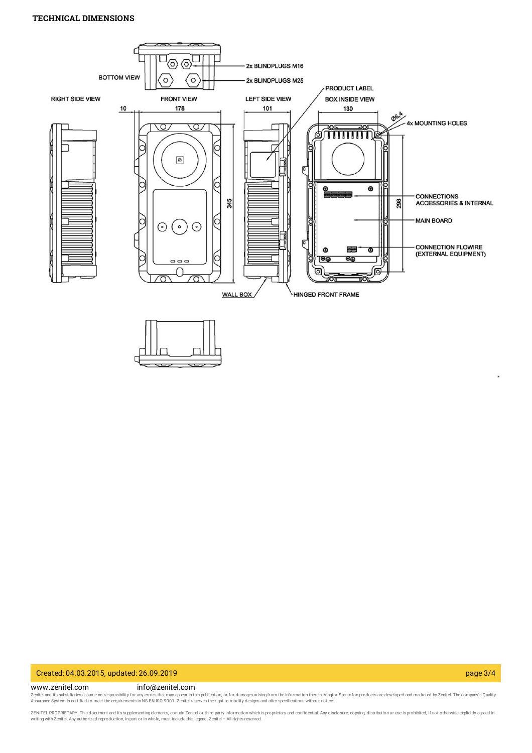# **TECHNICAL DIMENSIONS**



#### Created: 04.03.2015, updated: 26.09.2019 page 3/4

www.zenitel.com info@zenitel.com

Zenitel and its subsidiaries assume no responsibility for any errors that may appear in this publication, or for damages arising from the information therein. Vingtor-Stentofon products are developed and marketed by Zenite